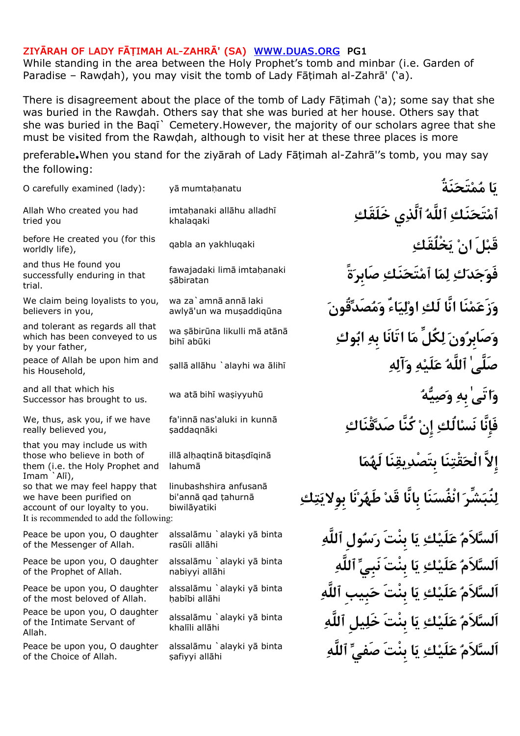While standing in the area between the Holy Prophet's tomb and minbar (i.e. Garden of Paradise – Rawdah), you may visit the tomb of Lady Fātimah al-Zahrā' ('a).

There is disagreement about the place of the tomb of Lady Fātimah ('a); some say that she was buried in the Rawdah. Others say that she was buried at her house. Others say that she was buried in the Baqi` Cemetery.However, the majority of our scholars agree that she must be visited from the Rawdah, although to visit her at these three places is more

preferable. When you stand for the ziyarah of Lady Fatimah al-Zahra''s tomb, you may say the following:

| O carefully examined (lady):                                                                                                            | yā mumtahanatu                                                | يَا مُمْتَحَذَ                                          |
|-----------------------------------------------------------------------------------------------------------------------------------------|---------------------------------------------------------------|---------------------------------------------------------|
| Allah Who created you had<br>tried you                                                                                                  | imtahanaki allāhu alladhī<br>khalaqaki                        | أَمْتَحَنَكِ ٱللَّهُ ٱلَّذِى خَلَقَكِ                   |
| before He created you (for this<br>worldly life),                                                                                       | qabla an yakhluqaki                                           | قَبْلَ انْ يَخْلُقَكِ                                   |
| and thus He found you<br>successfully enduring in that<br>trial.                                                                        | fawajadaki limā imtahanaki<br>sābiratan                       | فَوَجَدَكِ لِمَا ٱمْتَحَنَكِ صَابِرَةً                  |
| We claim being loyalists to you,<br>believers in you,                                                                                   | wa za`amnā annā laki<br>awlyā'un wa muşaddiqūna               | وَزَعَمْنَا انَّا لَكِ اوْلِيَاءٌ وَمُصَدِّقُونَ        |
| and tolerant as regards all that<br>which has been conveyed to us<br>by your father,                                                    | wa şābirūna likulli mā atānā<br>bihī abūki                    | وَصَابِرُونَ لِكُلِّ مَا اتَانَا بِهِ ابُوكِ            |
| peace of Allah be upon him and<br>his Household,                                                                                        | şallā allāhu `alayhi wa ālihī                                 | صَلَّىٰ ٱللَّهُ عَلَيْهِ وَآلِهِ                        |
| and all that which his<br>Successor has brought to us.                                                                                  | wa atā bihī wasiyyuhū                                         | وَاتَىٰ بهِ وَصِيَّهُ                                   |
| We, thus, ask you, if we have<br>really believed you,                                                                                   | fa'innā nas'aluki in kunnā<br>şaddaqnāki                      | فَإِنَّا نَسْالُكِ إِنْ كُنَّا صَدَّقْنَاكِ             |
| that you may include us with<br>those who believe in both of<br>them (i.e. the Holy Prophet and<br>Imam `Alī),                          | illā alhaqtinā bitaşdīqinā<br>lahumā                          | إلاَّ الْحَقْتِنَا بتَصْدِيقِنَا لَهُمَا                |
| so that we may feel happy that<br>we have been purified on<br>account of our loyalty to you.<br>It is recommended to add the following: | linubashshira anfusanā<br>bi'annā qad țahurnā<br>biwilāyatiki | لِنٌبَشِّرَ انْفُسَنَا بانَّا قَدْ طَهُرْنَا بولايَتِكِ |
| Peace be upon you, O daughter<br>of the Messenger of Allah.                                                                             | alssalāmu `alayki yā binta<br>rasūli allāhi                   | اَلسَّلاَمُ عَلَيْكِ يَا بِنْتَ رَسُولِ ٱللَّهِ         |
| Peace be upon you, O daughter<br>of the Prophet of Allah.                                                                               | alssalāmu `alayki yā binta<br>nabiyyi allāhi                  | اَاسَّلاَمُ عَلَىْك يَا بِنْتَ نَبِيِّ ٱللَّهِ          |
| Peace be upon you, O daughter<br>of the most beloved of Allah.                                                                          | alssalāmu `alayki yā binta<br>habībi allāhi                   |                                                         |
| Peace be upon you, O daughter<br>of the Intimate Servant of<br>Allah.                                                                   | alssalāmu `alayki yā binta<br>khalīli allāhi                  |                                                         |
| Peace be upon you, O daughter<br>of the Choice of Allah.                                                                                | alssalāmu `alayki yā binta<br>şafiyyi allāhi                  | اَلسَّلاَمُ عَلَ<br>ك ِيَا                              |
|                                                                                                                                         |                                                               |                                                         |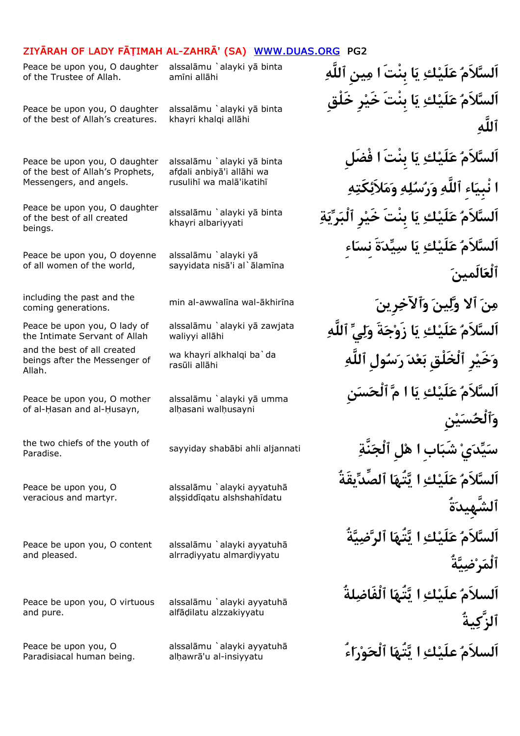Peace be upon you, O daughter of the Trustee of Allah.

alssalāmu `alayki yā binta<br>amīni allāhi **inta يَا بِنْتَ ايمِينِ ٱللَّهِ** amīni allāhi

Peace be upon you, O daughter of the best of Allah's creatures.

Peace be upon you, O daughter of the best of Allah's Prophets, Messengers, and angels.

Peace be upon you, O daughter of the best of all created beings.

Peace be upon you, O doyenne of all women of the world,

coming generations.

Peace be upon you, O lady of the Intimate Servant of Allah

and the best of all created beings after the Messenger of Allah.

Peace be upon you, O mother of al-Hasan and al-Husayn,

Paradise.

Peace be upon you, O veracious and martyr.

Peace be upon you, O content and pleased.

Peace be upon you, O virtuous and pure.

Peace be upon you, O Paradisiacal human being. alssalāmu `alayki yā binta khayri khalqi allāhi

alssalāmu `alayki yā binta afdali anbivā'i allāhi wa rusulihī wa malā'ikatihī

khayri albariyyati

alssalāmu `alayki yā sayyidata nisā'i al`ālamīna

waliyyi allāhi

rasūli allāhi

alssalāmu `alayki yā umma alhasani walhusayni

alssalāmu `alayki ayyatuhā alşşiddīgatu alshshahīdatu

alssalāmu `alayki ayyatuhā alrradivyatu almardivyatu

alssalāmu `alavki avyatuhā alfādilatu alzzakiyyatu

alhawrā'u al-insiyyatu

**اَلسلاَم علَيك يا بِنْتَ خَيرِ خَلْقِ ٱللَّه اَلسلاَم علَيك يا بِنْتَ افْضَلِ <sup>ا</sup>نْبِياءِ ٱللَّه ورسله وملاَئكَته** alssalāmu `alayki yā binta<br>khayri albariyyati **السَّلاَمُ عَلَيْك ِ يَا بِنْتَ خَيْرِ ٱلْبَرِّيَةِ اَلسلاَم علَيك يا سيدةَ نِساءِ ٱلْعالَمين** min al-awwalīna wal-ākhirīna coming generations.<br>The generations wallow of alssalamu `alayki ya zawiata *(أَلا قَادَ \* مِينَ* مِينَ مِينَ بِينَ مِينَ بِينَ بِينَ م اَلسَّلاَمُ عَلَيْك**ِ يَا زَوْجَةَ وَلِيِّ ٱللَّ**ٰهِ **ٱللَّه ولِسر دعب ٱلْخَلْقِ رِخَيو** wa khayri alkhalqi ba`da **اَلسلاَم علَيك يا ام ٱلْحسنِ وٱلْحسينِ** the two chiefs of the youth of sayyiday shabābi ahli aljannati **الْجَنَّةَ الْجَنَّةُ krandise.**<br>Paradise. **اَلسلاَم علَيك ايتُها ٱلصِّديقَةُ ٱلشَّهِيدةُ اَلسلاَم علَيك ايتُها ٱلرضيةُ ٱلْمَي**ْضُ **اَلسلاَم علَيك ايتُها ٱلْفَاضلةُ ٱلزَّكيةُ** alssalāmu `alayki ayyatuhā<br>alhawrā'u al-insiyyatu**hā مَلَيْـلْتِ التَّبَيْهَا ٱلْحَوْر**ْاء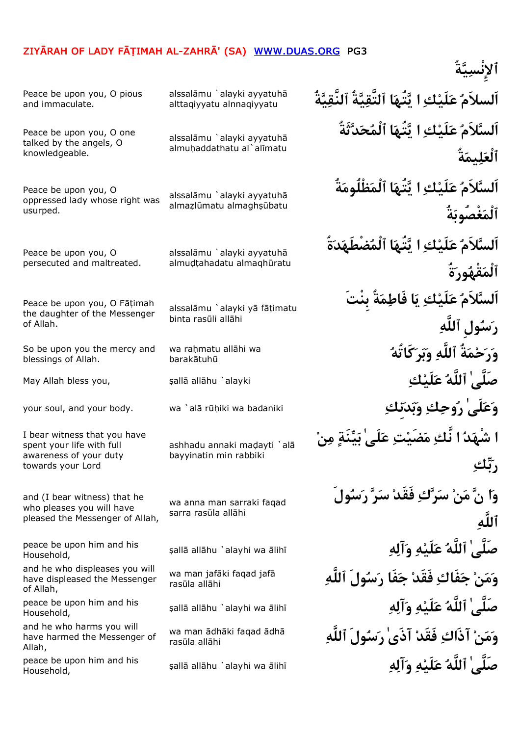**ٱلإِنْسيةُ** alssalāmu `alayki ayyatuhā **التَّقبَّةُ ٱلنََّقبَّةُ ﴾ [alssalāmu `alayki ayyatuhā m**<br>alttagiyyatu alppagiyyatu alttaqiyyatu alnnaqiyyatu Peace be upon you, O pious and immaculate. **اَلسلاَم علَيك ايتُها ٱلْمحدثَةُ ٱلْعليمةُ** alssalāmu `alayki ayyatuhā almuhaddathatu al`alīmatu Peace be upon you, O one talked by the angels, O knowledgeable. **اَلسلاَم علَيك ايتُها ٱلْمظْلُومةُ ٱلْمغْصُوبةُ** alssalāmu `alayki ayyatuhā almazlūmatu almaghşūbatu Peace be upon you, O oppressed lady whose right was usurped. **اَلسلاَم علَيك ايتُها ٱلْمضْطَهدةُ ٱلْمقْهورةُ** alssalāmu `alavki avyatuhā almudtahadatu almaqhūratu Peace be upon you, O persecuted and maltreated. **اَلسلاَم علَيك يا فَاطمةُ بِنْتَ رسولِ ٱللَّه** alssalāmu `alayki vā fātimatu binta rasūli allāhi Peace be upon you, O Fātimah the daughter of the Messenger of Allah. wa raḥmatu allāhi wa<br>harakātubū barakātuhū So be upon you the mercy and blessings of Allah. May Allah bless you, ¥all¡ all¡hu `alayki **كلَيع ٱللَّه ٰصَلَّى** your soul, and your body. wa `alā rūḥiki wa badaniki **نِكْتَجَات فِيَكْمَلْكِي بِهِمْ الْكَلْمَا**لِي فَقْ فَقْ ا **<sup>ا</sup>شْهد انَّك مضَيت علَىٰ بينَة من ربك** ashhadu annaki madayti `alā bayyinatin min rabbiki I bear witness that you have spent your life with full awareness of your duty towards your Lord **وان من سرك فَقَد سر رسولَ ٱللَّه** wa anna man sarraki faqad sarra rasūla allāhi and (I bear witness) that he who pleases you will have pleased the Messenger of Allah, ¥all¡ all¡hu `alayhi wa ¡lih¢ **هآلو هلَيع ٱللَّه ٰصَلَّى** peace be upon him and his Household, **ٱللَّه ولَسر فَاج فَقَد فَاكج نمو** wa man jaf¡ki faqad jaf¡ rasūla allāhi and he who displeases you will have displeased the Messenger of Allah, ¥all¡ all¡hu `alayhi wa ¡lih¢ **هآلو هلَيع ٱللَّه ٰصَلَّى** peace be upon him and his Household, **ٱللَّه ولَسر ٰآذَى فَقَد آذَاك نمو** wa man ¡dh¡ki faqad ¡dh¡ rasūla allāhi and he who harms you will have harmed the Messenger of Allah, ¥all¡ all¡hu `alayhi wa ¡lih¢ **هآلو هلَيع ٱللَّه ٰصَلَّى** peace be upon him and his Household,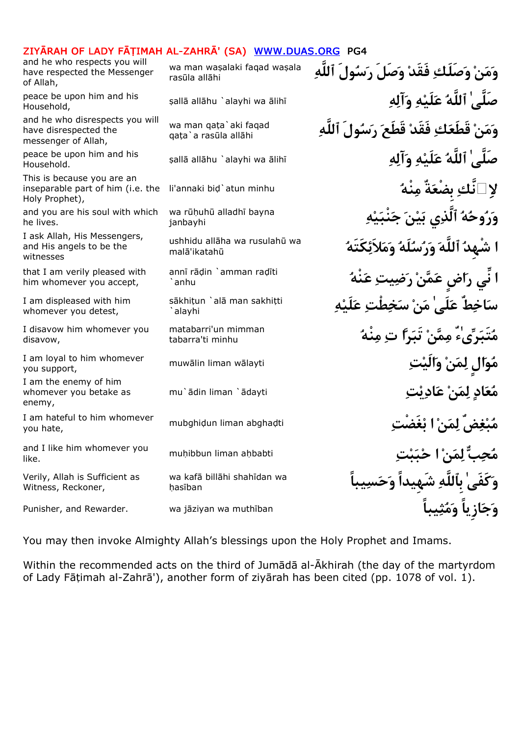and he who respects you will have respected the Messenger of Allah,

Household,

and he who disrespects you will have disrespected the messenger of Allah,

Household.

This is because you are an inseparable part of him (i.e. the Holy Prophet),

and you are his soul with which he lives.

I ask Allah, His Messengers, and His angels to be the witnesses

that I am verily pleased with him whomever you accept,

I am displeased with him whomever you detest,

I disavow him whomever you disavow,

you support,

I am the enemy of him whomever you betake as enemy,

you hate,

like.

Verily, Allah is Sufficient as Witness, Reckoner,

rasūla allāhi

qata`a rasūla allāhi

janbayhi

ushhidu allāha wa rusulahū wa malā'ikatahū

annī rāḍin `amman raḍīti `anhu

`alayhi

tabarra'ti minhu

hasīban

**ٱللَّه ولَسر صَلَو فَقَد صَلَكو نمو** wa man wa¥alaki faqad wa¥ala ¥all¡ all¡hu `alayhi wa ¡lih¢ **هآلو هلَيع ٱللَّه ٰصَلَّى** peace be upon him and his **ٱللَّه ولَسر قَطَع فَقَد كقَطَع نمو** wa man qa§a`aki faqad peace be upon him and his <sub>sallā allāhu `alayhi wa ālihī **هَمَلَّهُ ، وَأَلْه ُصَلَّى ٰلَّهُ عَلَيْه وَأَلْه**</sub> **نَّك بِضْعةٌ منْه لا** li'annaki bi¤`atun minhu **هينْبج نيب يٱلَّذ هوحرو** wa r£¦uh£ alladh¢ bayna **<sup>ا</sup>شْهِد ٱللَّه ورسلَه وملاَئكَتَه <sup>ا</sup>نِّي راضٍ عمن رضيت عنْه** ه**َاخِطٌ عَلَى' مَنْ سَخِطْتِ عَلَيْهِ** sākhiṭun `alā man sakhiṭti matabarri'un mimman<br>مُتَبَدِّىءُ مِمَّنْ تَبَد**َّا تِ مِنْهُ** ِهِمْ matabarra'ti minhu muw¡lin liman w¡layti **تالَيو نمل الٍوم** I am loyal to him whomever mu`ādin liman `ādayti **تي تياد نمي** نمل انتهاء نمل استفادة نمل استفادة نمل استفادة نمل الدعم mubghi¤un liman abgha¤ti **غَضْتبا نمل ضٌغبم** I am hateful to him whomever mu¦ibbun liman a¦babti **تببحا نمل بحم** and I like him whomever you **ياًللَّه شَهِيداً وَحَسِيباً لِللَّه لِهِ wa kafā billāhi shahīdan wa** Punisher, and Rewarder. wa j¡ziyan wa muth¢ban **يباًثمو ازِياًجو**

You may then invoke Almighty Allah's blessings upon the Holy Prophet and Imams.

Within the recommended acts on the third of Jumādā al-Ākhirah (the day of the martyrdom of Lady Fāțimah al-Zahrā'), another form of ziyārah has been cited (pp. 1078 of vol. 1).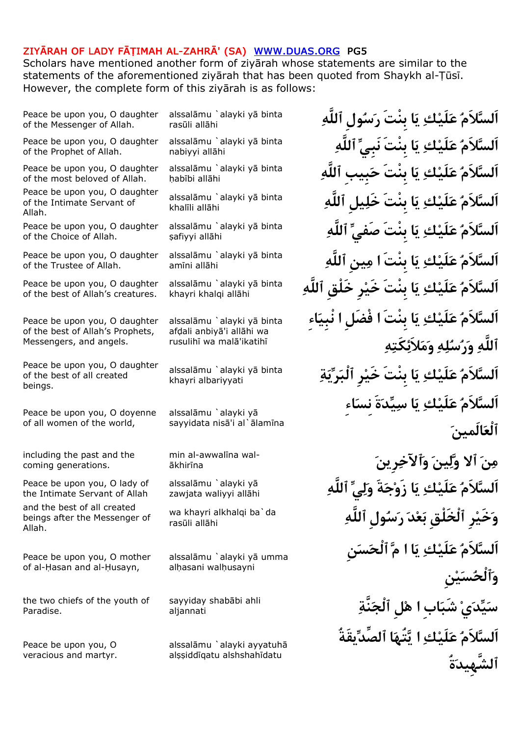Scholars have mentioned another form of zivārah whose statements are similar to the statements of the aforementioned ziyārah that has been quoted from Shaykh al-Tūsī. However, the complete form of this zivarah is as follows:

Peace be upon you, O daughter of the Messenger of Allah.

Peace be upon you, O daughter of the Prophet of Allah.

Peace be upon you, O daughter of the most beloved of Allah.

Peace be upon you, O daughter of the Intimate Servant of Allah.

Peace be upon you, O daughter of the Choice of Allah.

Peace be upon you, O daughter of the Trustee of Allah.

Peace be upon you, O daughter of the best of Allah's creatures.

Peace be upon you, O daughter of the best of Allah's Prophets, Messengers, and angels.

Peace be upon you, O daughter of the best of all created beings.

Peace be upon you, O doyenne of all women of the world,

including the past and the coming generations.

Peace be upon you, O lady of the Intimate Servant of Allah

and the best of all created beings after the Messenger of Allah.

Peace be upon you, O mother of al-Hasan and al-Husayn,

the two chiefs of the youth of Paradise.

Peace be upon you, O veracious and martyr. rasūli allāhi

nabiyyi allāhi

habībi allāhi

khalīli allāhi

şafiyyi allāhi

amīni allāhi

khayri khalqi allāhi

alssalāmu `alayki yā binta afdali anbivā'i allāhi wa rusulihī wa malā'ikatihī

khayri albariyyati

alssalāmu `alayki yā sayyidata nisā'i al`ālamīna

¡khir¢na

zawiata waliyyi allahi

rasūli allāhi

alssalāmu `alayki yā umma alhasani walhusayni

aliannati

alssalāmu `alayki ayyatuhā alssiddīgatu alshshahīdatu

alssalāmu `alayki yā binta **أَلسَّلاَمُ عَلَيْك ِ يَا بِنْتَ رَسُولِ ٱللَّٰ**هِ alssalāmu `alayki yā binta<br>nabiyyi allāhi alssalāmu `alayki yā binta<br>hahībi allāhi alssalāmu `alayki yā binta<br>khalīli allābi alssalāmu `alayki yā binta<br>safiyyi allāhi **<sup>aju</sup>vi allāhi ٱللَّه ينِما بِنْتَ اي كلَيع لاَماَلس** alssal¡mu `alayki y¡ binta اَلسَّلاَم ْعَلَيْكِ يَا بِنْتَ خَيْرِ خَلْق ٱللَّه*ِ* **اَلسلاَم علَيك يا بِنْتَ افْضَلِ انْبِياءِ ٱللَّه ورسله وملاَئكَته ةيرٱلْب رِخَي بِنْتَ اي كلَيع لاَماَلس** alssal¡mu `alayki y¡ binta **اَلسلاَم علَيك يا سيدةَ نِساءِ ٱلْعالَمين رِينٱلآخو ينلوٱلا نم** min al-awwal¢na wal- ٱلسَّلاَمُ عَلَيْك**ِ يَا زَوْجَةَ وَلِيِّ ٱللَّ**هِ **ٱللَّه ولِسر دعب ٱلْخَلْقِ رِخَيو** wa khayri alkhalqi ba`da **اَلسلاَم علَيك يا ام ٱلْحسنِ وٱلْحسينِ نَّةٱلْج لِها ابِشَب يديس** sayyiday shab¡bi ahli **اَلسلاَم علَيك ايتُها ٱلصِّديقَةُ ٱلشَّهِيدةُ**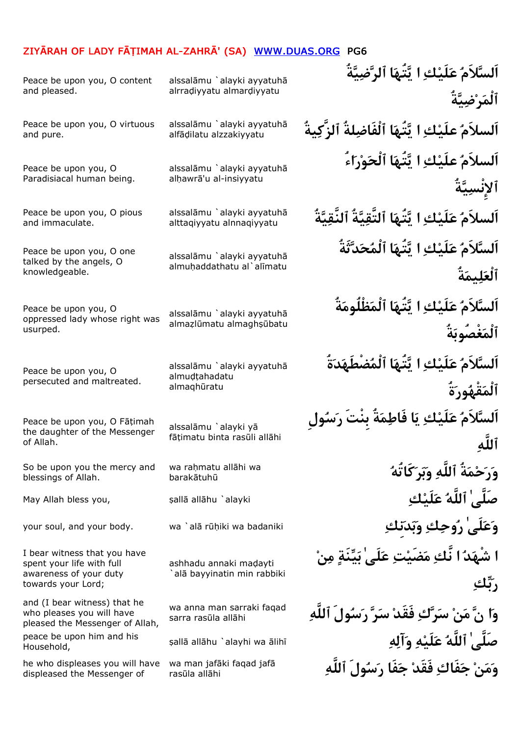Peace be upon you, O content and pleased.

Peace be upon you, O virtuous and pure.

Peace be upon you, O Paradisiacal human being.

Peace be upon you, O pious and immaculate.

Peace be upon you, O one talked by the angels, O knowledgeable.

Peace be upon you, O oppressed lady whose right was usurped.

Peace be upon you, O persecuted and maltreated.

Peace be upon you, O Fāțimah the daughter of the Messenger of Allah.

So be upon you the mercy and blessings of Allah.

I bear witness that you have spent your life with full awareness of your duty towards your Lord;

and (I bear witness) that he who pleases you will have pleased the Messenger of Allah, Household,

he who displeases you will have displeased the Messenger of

alssalāmu `alayki ayyatuhā alrradiyyatu almardiyyatu

alfādilatu alzzakivvatu

alssalāmu `alayki ayyatuhā alhawrā'u al-insiyyatu

alttaqiyyatu alnnaqiyyatu

alssalāmu `alayki ayyatuhā almuhaddathatu al`alīmatu

alssalāmu `alavki avyatuhā almazlūmatu almaghsūbatu

alssalāmu `alayki ayyatuhā almudtahadatu almaqhūratu

alssalāmu `alayki vā fātimatu binta rasūli allāhi

barakātuhū

ashhadu annaki madayti alā bayyinatin min rabbiki

sarra rasūla allāhi

rasūla allāhi

**اَلسلاَم علَيك ايتُها ٱلرضيةُ ٱلْمرضيةُ يةُٱلزَّك لةُٱلْفَاض اتُهيا كعلَي اَلسلاَم** alssal¡mu `alayki ayyatuh¡ **اَلسلاَم علَيك ايتُها ٱلْحوراءُ ٱلإِنْسيةُ ةُيٱلنَّق ةُيٱلتَّق اتُهيا كلَيع اَلسلاَم** alssal¡mu `alayki ayyatuh¡ **اَلسلاَم علَيك ايتُها ٱلْمحدثَةُ ٱلْعليمةُ اَلسلاَم علَيك ايتُها ٱلْمظْلُومةُ ٱلْمغْصُوبةُ اَلسلاَم علَيك ايتُها ٱلْمضْطَهدةُ ٱلْمقْهورةُ اَلسلاَم علَيك يا فَاطمةُ بِنْتَ رسولِ ٱللَّه** wa raḥmatu allāhi wa<br>harakātubū **أَللَّهِ وَبَر<sup>ِ</sup>كَا نُّهُ** مَسْسَلَةٌ مُسْسَلِّهُ مِنْ اللَّهُ May Allah bless you, ¥all¡ all¡hu `alayki **كلَيع ٱللَّه ٰصَلَّى** your soul, and your body. wa `al¡ r£¦iki wa badaniki **نِكدبو كوحر ٰلَىعو <sup>ا</sup>شْهد انَّك مضَيت علَىٰ بينَة من ربك ٱللَّه ولَسر رس فَقَد كرس نم ناو** wa anna man sarraki faqad ¥all¡ all¡hu `alayhi wa ¡lih¢ **هآلو هلَيع ٱللَّه ٰصَلَّى** peace be upon him and his wa man jafāki faqad jafā **مَنْ جَفَاكِ فَقَدْ جَفَا رَسُولَ ٱللَّهِ**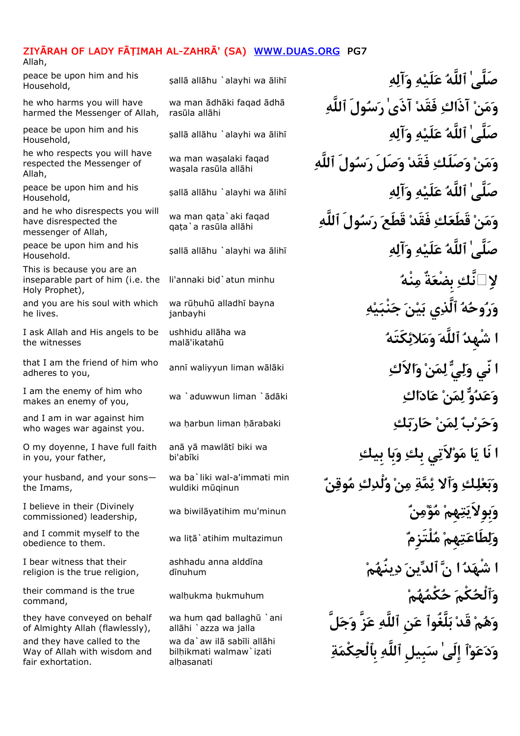Allah,

Household,

he who harms you will have harmed the Messenger of Allah,

Household,

he who respects you will have respected the Messenger of Allah,

Household,

and he who disrespects you will have disrespected the messenger of Allah,

Household.

This is because you are an inseparable part of him (i.e. the Holy Prophet),

and you are his soul with which he lives.

I ask Allah and His angels to be the witnesses

that I am the friend of him who anni waliyyun liman walaki adheres to you,

makes an enemy of you,

who wages war against you.

O my doyenne, I have full faith in you, your father,

your husband, and your sons the Imams,

commissioned) leadership,

obedience to them.

I bear witness that their religion is the true religion,

command,

they have conveyed on behalf of Almighty Allah (flawlessly), and they have called to the Way of Allah with wisdom and fair exhortation.

rasūla allāhi

wasala rasūla allāhi

qata`a rasūla allāhi

janbayhi

ushhidu allāha wa malā'ikatahū

anā yā mawlātī biki wa bi'abīki

wuldiki m£qinun

ashhadu anna alddīna dinuhum

allāhi `azza wa jalla bilhikmati walmaw`izati alhasanati

¥all¡ all¡hu `alayhi wa ¡lih¢ **هآلو هلَيع ٱللَّه ٰصَلَّى** peace be upon him and his **ٱللَّه ولَسر ٰآذَى فَقَد آذَاك نمو** wa man ¡dh¡ki faqad ¡dh¡ ¥all¡ all¡hu `alayhi wa ¡lih¢ **هآلو هلَيع ٱللَّه ٰصَلَّى** peace be upon him and his wa man waşalaki faqad **مَنْ وَصَلَلْكِ فَقَدْ وَصَلَ** رَسُولَ ٱللَّهِ wa man waşalaki faqad ¥all¡ all¡hu `alayhi wa ¡lih¢ **هآلو هلَيع ٱللَّه ٰصَلَّى** peace be upon him and his **ٱللَّه ولَسر قَطَع فَقَد كقَطَع نمو** wa man qa§a`aki faqad ¥all¡ all¡hu `alayhi wa ¡lih¢ **هآلو هلَيع ٱللَّه ٰصَلَّى** peace be upon him and his **لاِ نَّك بِضْعَةٌ مِنْهُ**<br>Ii'annaki bid`atun minhu<br>منفقة بِينَّة بِينَّة بِينَ بِينَ مُنْهُمْ اللہ العالم العالم العالم العالم العالم العالم العالم العالم العالم **هينْبج نيب يٱلَّذ هوحرو** wa r£¦uh£ alladh¢ bayna **<sup>ا</sup>شْهِد ٱللَّه وملائكَتَه <sup>ا</sup>نّي ولي لمن والاَك** wa `aduwwun liman `¡d¡ki **اكادع نمل ودعو** I am the enemy of him who wa ¦arbun liman ¦¡rabaki **كبارح نمل برحو** and I am in war against him **<sup>ا</sup>نَا يا مولاَتي بِك وبِابِيك** wa ba`liki wal-a'immati min<br>wuldiki mūginun wa biwil¡yatihim mu'minun **نمؤم هِمتبِوِلاَيو** I believe in their (Divinely and I commit myself to the wa liṭā`atihim multazimun **الْتَزِمْ هُلْتَزِمْ هُلْتَزِمْ** and I commit myself to the **<sup>ا</sup>شْهد ان ٱلدين دينُهم** wal¦ukma ¦ukmuhum **مهكْمح كْمٱلْحو** their command is the true **لَّجو زَّع ٱللَّه نِع لَّغُوٱب قَد مهو** wa hum qad ballagh£ `ani  **ةكْمبِٱلْح ٱللَّه بِيلِس ٰإِلَى ٱوعدو** wa da`aw il¡ sab¢li all¡hi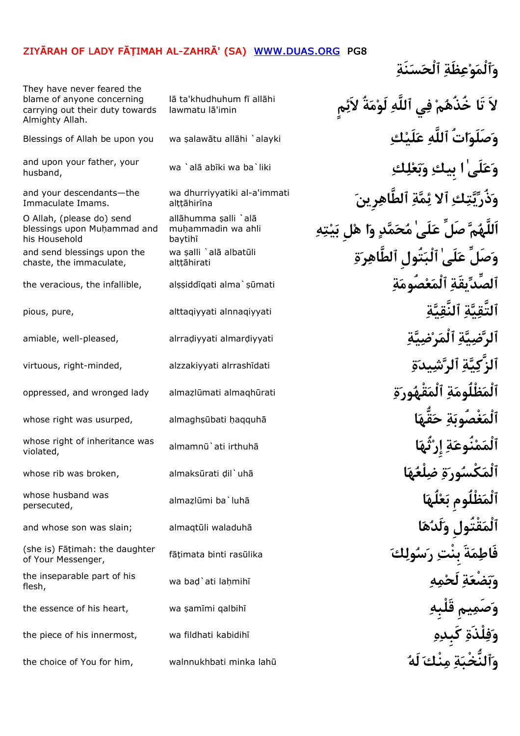They have never feared the blame of anyone concerning carrying out their duty towards Almighty Allah.

husband,

and your descendants—the Immaculate Imams.

O Allah, (please do) send blessings upon Muhammad and his Household

and send blessings upon the chaste, the immaculate,

violated,

persecuted,

of Your Messenger,

flesh,

lawmatu lā'imin

alttāhirīna

mu¦ammadin wa ahli baytihī al§§¡hirati

**مٍلاَئ ةُملَو ٱللَّه يف مخُذُهتَا لاَ** l¡ ta'khudhuhum f¢ all¡hi Blessings of Allah be upon you wa ¥alaw¡tu all¡hi `alayki **كلَيع ٱللَّه اتُصَلَوو** and upon your father, your wa `alā abīki wa ba`liki **كلي أوبيك وبِّعْلِك ِ الْمَجْلَسَ لَّا أَنْ لَا**<br>husband, wa `alā abīki wa ba`liki **كلي يو بِين الله من الله من الله من الله من الله من الله من الله من الله من**<br>مر<sup>بع ي</sup> **رِينٱلطَّاه ةمئٱلا كتيذُرو** wa dhurriyyatiki al-a'immati muḥammadin wa ahli<br>baytihī<br>wa salli `alā albatūli **wa salli `alā albatūli** وَصَلٍّ عَلَىٰ ٰالْبَتُولِ ا<sub>َ</sub>لطَّاهِر<sup>ِ</sup>ةِ the veracious, the infallible, al¥¥idd¢qati alma`¥£mati **ةصُومعٱلْم يقَةٱلصِّد** pious, pure, alttaqiyyati alnnaqiyyati **ةيٱلنَّق ةيٱلتَّق** amiable, well-pleased, alrra¤iyyati almar¤iyyati **ةيضرٱلْم ةيضٱلر** virtuous, right-minded, alzzakiyyati alrrash¢dati **ةيدشٱلر ةيٱلزَّك** oppressed, and wronged lady alma¨l£mati almaqh£rati **ةورقْهٱلْم ةظْلُومٱلْم** whose right was usurped, almaghṣūbati ḥaqquhā <br>**Maxware** in the same of the same of the same of the same of the same of the same of the same of the same of th almamn£`ati irthuh¡ **اثُهإِر ةنُوعمٱلْم** whose right of inheritance was whose rib was broken, almaksūrati ḍil`uhā <mark>(أَلْمَكْسُور<sup>ِ</sup>ةِ ضِلْعُهَا</mark> alma¨l£mi ba`luh¡ **الُهعب ظْلُومِٱلْم** whose husband was and whose son was slain; almaqtūli waladuhā <mark>لَدُهَا وَلَدُهَا</mark> f¡§imata binti ras£lika **كولسر بِنْت ةَمفَاط**) she is) F¡§imah: the daughter the inseparable part of his wa baḍ`ati laḥmihī <mark>وَبَصْعَةِ لَحْ</mark>مِهِ \* the essence of his heart, wa ¥am¢mi qalbih¢ **قَلْبِه يمِصَمو** the piece of his innermost, wa fildhati kabidih¢ **هكَبِد لْذَةفو** the choice of You for him, walnnukhbati minka lah£ **لَه نْكم ةٱلنُّخْبو**

**وٱلْموعظَة ٱلْحسنَة**